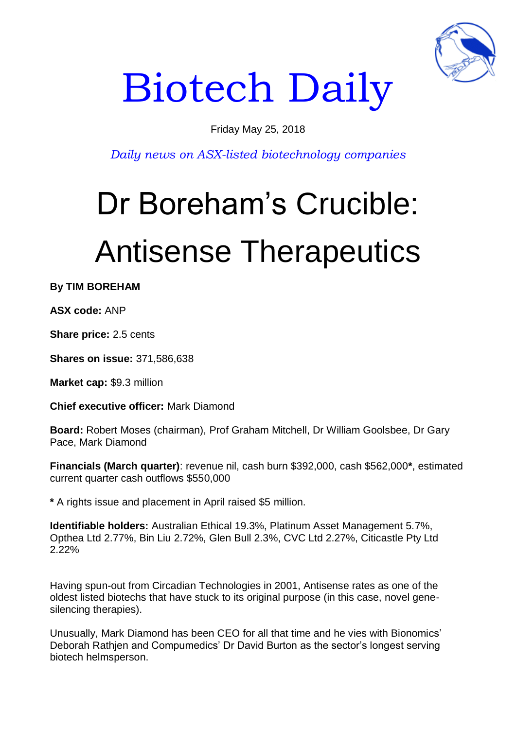

# Biotech Daily

### Friday May 25, 2018

*Daily news on ASX-listed biotechnology companies*

## Dr Boreham's Crucible: Antisense Therapeutics

**By TIM BOREHAM**

**ASX code:** ANP

**Share price:** 2.5 cents

**Shares on issue:** 371,586,638

**Market cap:** \$9.3 million

**Chief executive officer:** Mark Diamond

**Board:** Robert Moses (chairman), Prof Graham Mitchell, Dr William Goolsbee, Dr Gary Pace, Mark Diamond

**Financials (March quarter)**: revenue nil, cash burn \$392,000, cash \$562,000**\***, estimated current quarter cash outflows \$550,000

**\*** A rights issue and placement in April raised \$5 million.

**Identifiable holders:** Australian Ethical 19.3%, Platinum Asset Management 5.7%, Opthea Ltd 2.77%, Bin Liu 2.72%, Glen Bull 2.3%, CVC Ltd 2.27%, Citicastle Pty Ltd 2.22%

Having spun-out from Circadian Technologies in 2001, Antisense rates as one of the oldest listed biotechs that have stuck to its original purpose (in this case, novel genesilencing therapies).

Unusually, Mark Diamond has been CEO for all that time and he vies with Bionomics' Deborah Rathjen and Compumedics' Dr David Burton as the sector's longest serving biotech helmsperson.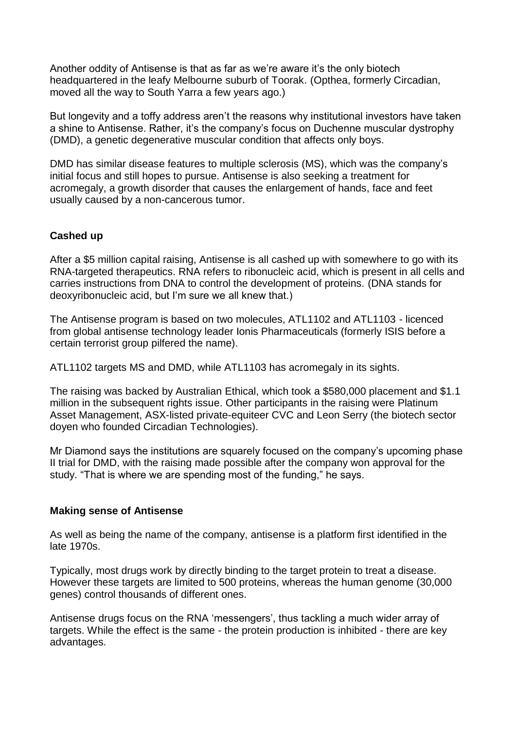Another oddity of Antisense is that as far as we're aware it's the only biotech headquartered in the leafy Melbourne suburb of Toorak. (Opthea, formerly Circadian, moved all the way to South Yarra a few years ago.)

But longevity and a toffy address aren't the reasons why institutional investors have taken a shine to Antisense. Rather, it's the company's focus on Duchenne muscular dystrophy (DMD), a genetic degenerative muscular condition that affects only boys.

DMD has similar disease features to multiple sclerosis (MS), which was the company's initial focus and still hopes to pursue. Antisense is also seeking a treatment for acromegaly, a growth disorder that causes the enlargement of hands, face and feet usually caused by a non-cancerous tumor.

#### **Cashed up**

After a \$5 million capital raising, Antisense is all cashed up with somewhere to go with its RNA-targeted therapeutics. RNA refers to ribonucleic acid, which is present in all cells and carries instructions from DNA to control the development of proteins. (DNA stands for deoxyribonucleic acid, but I'm sure we all knew that.)

The Antisense program is based on two molecules, ATL1102 and ATL1103 - licenced from global antisense technology leader Ionis Pharmaceuticals (formerly ISIS before a certain terrorist group pilfered the name).

ATL1102 targets MS and DMD, while ATL1103 has acromegaly in its sights.

The raising was backed by Australian Ethical, which took a \$580,000 placement and \$1.1 million in the subsequent rights issue. Other participants in the raising were Platinum Asset Management, ASX-listed private-equiteer CVC and Leon Serry (the biotech sector doyen who founded Circadian Technologies).

Mr Diamond says the institutions are squarely focused on the company's upcoming phase II trial for DMD, with the raising made possible after the company won approval for the study. "That is where we are spending most of the funding," he says.

#### **Making sense of Antisense**

As well as being the name of the company, antisense is a platform first identified in the late 1970s.

Typically, most drugs work by directly binding to the target protein to treat a disease. However these targets are limited to 500 proteins, whereas the human genome (30,000 genes) control thousands of different ones.

Antisense drugs focus on the RNA 'messengers', thus tackling a much wider array of targets. While the effect is the same - the protein production is inhibited - there are key advantages.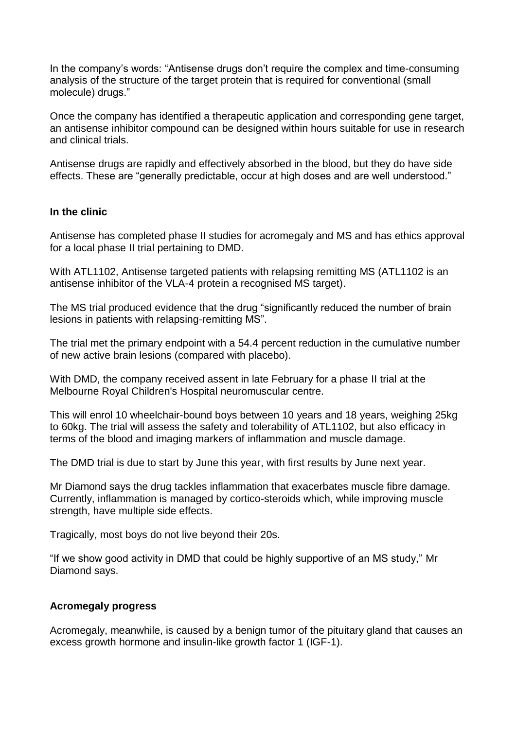In the company's words: "Antisense drugs don't require the complex and time-consuming analysis of the structure of the target protein that is required for conventional (small molecule) drugs."

Once the company has identified a therapeutic application and corresponding gene target, an antisense inhibitor compound can be designed within hours suitable for use in research and clinical trials.

Antisense drugs are rapidly and effectively absorbed in the blood, but they do have side effects. These are "generally predictable, occur at high doses and are well understood."

#### **In the clinic**

Antisense has completed phase II studies for acromegaly and MS and has ethics approval for a local phase II trial pertaining to DMD.

With ATL1102, Antisense targeted patients with relapsing remitting MS (ATL1102 is an antisense inhibitor of the VLA-4 protein a recognised MS target).

The MS trial produced evidence that the drug "significantly reduced the number of brain lesions in patients with relapsing-remitting MS".

The trial met the primary endpoint with a 54.4 percent reduction in the cumulative number of new active brain lesions (compared with placebo).

With DMD, the company received assent in late February for a phase II trial at the Melbourne Royal Children's Hospital neuromuscular centre.

This will enrol 10 wheelchair-bound boys between 10 years and 18 years, weighing 25kg to 60kg. The trial will assess the safety and tolerability of ATL1102, but also efficacy in terms of the blood and imaging markers of inflammation and muscle damage.

The DMD trial is due to start by June this year, with first results by June next year.

Mr Diamond says the drug tackles inflammation that exacerbates muscle fibre damage. Currently, inflammation is managed by cortico-steroids which, while improving muscle strength, have multiple side effects.

Tragically, most boys do not live beyond their 20s.

"If we show good activity in DMD that could be highly supportive of an MS study," Mr Diamond says.

#### **Acromegaly progress**

Acromegaly, meanwhile, is caused by a benign tumor of the pituitary gland that causes an excess growth hormone and insulin-like growth factor 1 (IGF-1).